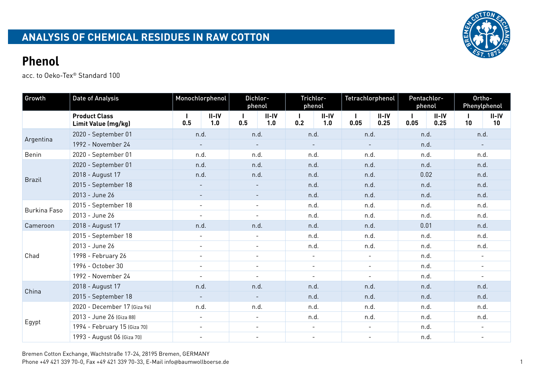

| Growth        | <b>Date of Analysis</b>                     | Monochlorphenol<br>Dichlor-<br>phenol |                          |                          |                          | Trichlor-<br>phenol      |                          | Tetrachlorphenol | Pentachlor-<br>phenol |      | Ortho-<br>Phenylphenol |                          |                          |  |
|---------------|---------------------------------------------|---------------------------------------|--------------------------|--------------------------|--------------------------|--------------------------|--------------------------|------------------|-----------------------|------|------------------------|--------------------------|--------------------------|--|
|               | <b>Product Class</b><br>Limit Value (mg/kg) | 0.5                                   | $II-IV$<br>1.0           | 0.5                      | $II-IV$<br>1.0           | 0.2                      | $II-IV$<br>1.0           | 0.05             | $II-IV$<br>0.25       | 0.05 | $II-IV$<br>0.25        | 10                       | $II-IV$<br>10            |  |
| Argentina     | 2020 - September 01                         | n.d.                                  |                          | n.d.                     |                          | n.d.                     |                          | n.d.             |                       | n.d. |                        | n.d.                     |                          |  |
|               | 1992 - November 24                          | $\blacksquare$                        |                          | $\overline{\phantom{a}}$ |                          | $\overline{\phantom{a}}$ |                          | $\sim$           |                       | n.d. |                        | $\sim$                   |                          |  |
| Benin         | 2020 - September 01                         |                                       | n.d.                     |                          | n.d.                     |                          | n.d.                     |                  | n.d.                  |      | n.d.                   |                          | n.d.                     |  |
|               | 2020 - September 01                         | n.d.                                  |                          | n.d.                     |                          | n.d.                     |                          | n.d.             |                       | n.d. |                        | n.d.                     |                          |  |
| <b>Brazil</b> | 2018 - August 17                            |                                       | n.d.                     |                          | n.d.                     |                          | n.d.                     |                  | n.d.                  |      | 0.02                   |                          | n.d.                     |  |
|               | 2015 - September 18                         |                                       |                          |                          | $\overline{\phantom{a}}$ |                          | n.d.                     |                  | n.d.                  |      | n.d.                   |                          | n.d.                     |  |
|               | 2013 - June 26                              | $\equiv$                              |                          | $\overline{\phantom{a}}$ |                          | n.d.                     |                          | n.d.             |                       | n.d. |                        | n.d.                     |                          |  |
| Burkina Faso  | 2015 - September 18                         |                                       |                          | $\blacksquare$           |                          | n.d.                     |                          | n.d.             |                       | n.d. |                        | n.d.                     |                          |  |
|               | 2013 - June 26                              |                                       |                          |                          |                          | n.d.                     |                          | n.d.             |                       | n.d. |                        | n.d.                     |                          |  |
| Cameroon      | 2018 - August 17                            |                                       | n.d.                     |                          | n.d.                     |                          | n.d.                     |                  | n.d.                  | 0.01 |                        | n.d.                     |                          |  |
|               | 2015 - September 18                         |                                       |                          | $\blacksquare$           |                          | n.d.                     |                          | n.d.             |                       | n.d. |                        | n.d.                     |                          |  |
|               | 2013 - June 26                              |                                       | $\blacksquare$           | $\overline{\phantom{a}}$ |                          | n.d.                     |                          | n.d.             |                       | n.d. |                        | n.d.                     |                          |  |
| Chad          | 1998 - February 26                          |                                       |                          | $\overline{\phantom{a}}$ |                          | $\overline{\phantom{a}}$ |                          |                  |                       | n.d. |                        |                          |                          |  |
|               | 1996 - October 30                           |                                       |                          | $\overline{\phantom{a}}$ |                          | $\overline{\phantom{a}}$ |                          | $\blacksquare$   |                       | n.d. |                        | $\overline{\phantom{a}}$ |                          |  |
|               | 1992 - November 24                          |                                       |                          | $\overline{\phantom{a}}$ |                          | $\overline{\phantom{a}}$ |                          |                  |                       | n.d. |                        |                          |                          |  |
| China         | 2018 - August 17                            | n.d.                                  |                          | n.d.                     |                          |                          | n.d.                     | n.d.             |                       | n.d. |                        | n.d.                     |                          |  |
|               | 2015 - September 18                         |                                       |                          | $\overline{\phantom{a}}$ |                          |                          | n.d.                     |                  | n.d.                  | n.d. |                        | n.d.                     |                          |  |
|               | 2020 - December 17 (Giza 96)                |                                       | n.d.                     | n.d.                     |                          |                          | n.d.                     | n.d.             |                       | n.d. |                        | n.d.                     |                          |  |
|               | 2013 - June 26 (Giza 88)                    | $\overline{\phantom{a}}$              |                          | $\blacksquare$           |                          | n.d.                     |                          | n.d.             |                       | n.d. |                        | n.d.                     |                          |  |
| Egypt         | 1994 - February 15 (Giza 70)                |                                       | $\blacksquare$           | $\overline{\phantom{a}}$ |                          | $\overline{\phantom{a}}$ |                          | $\sim$           |                       | n.d. |                        | $\overline{\phantom{a}}$ |                          |  |
|               | 1993 - August 06 (Giza 70)                  |                                       | $\overline{\phantom{a}}$ |                          | $\overline{\phantom{a}}$ |                          | $\overline{\phantom{a}}$ |                  | $\blacksquare$        |      | n.d.                   |                          | $\overline{\phantom{a}}$ |  |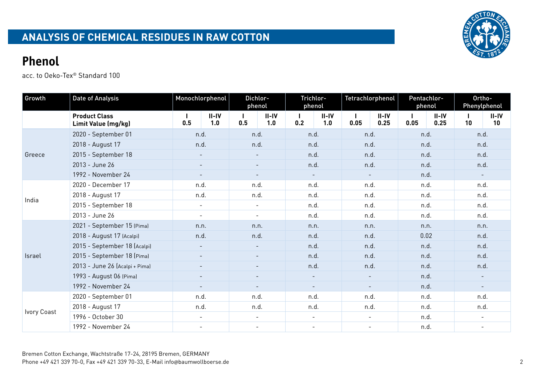

| Growth      | <b>Date of Analysis</b>                     |                          | Monochlorphenol          |                          | Dichlor-<br>phenol |                          | Trichlor-<br>phenol |                          | Tetrachlorphenol |      | Pentachlor-<br>phenol |                          | Ortho-<br>Phenylphenol |
|-------------|---------------------------------------------|--------------------------|--------------------------|--------------------------|--------------------|--------------------------|---------------------|--------------------------|------------------|------|-----------------------|--------------------------|------------------------|
|             | <b>Product Class</b><br>Limit Value (mg/kg) | 0.5                      | $II-IV$<br>1.0           | 0.5                      | $II-IV$<br>1.0     | 0.2                      | $II-IV$<br>1.0      | 0.05                     | $II-IV$<br>0.25  | 0.05 | $II-IV$<br>0.25       | 10                       | $II-IV$<br>10          |
|             | 2020 - September 01                         | n.d.                     |                          | n.d.                     |                    | n.d.                     |                     | n.d.                     |                  | n.d. |                       | n.d.                     |                        |
| Greece      | 2018 - August 17                            | n.d.                     |                          | n.d.                     |                    | n.d.                     |                     | n.d.                     |                  | n.d. |                       | n.d.                     |                        |
|             | 2015 - September 18                         | $\overline{\phantom{a}}$ |                          | $\overline{\phantom{a}}$ |                    | n.d.                     |                     | n.d.                     |                  | n.d. |                       | n.d.                     |                        |
|             | 2013 - June 26                              | $\overline{\phantom{a}}$ |                          | $\sim$                   |                    | n.d.                     |                     | n.d.                     |                  | n.d. |                       | n.d.                     |                        |
|             | 1992 - November 24                          | $\overline{\phantom{a}}$ |                          | $\overline{\phantom{a}}$ |                    | $\sim$                   |                     | $\sim$                   |                  | n.d. |                       | $\overline{\phantom{a}}$ |                        |
| India       | 2020 - December 17                          | n.d.                     |                          | n.d.                     |                    | n.d.                     |                     | n.d.                     |                  | n.d. |                       | n.d.                     |                        |
|             | 2018 - August 17                            | n.d.                     |                          | n.d.                     |                    | n.d.                     |                     | n.d.                     |                  | n.d. |                       | n.d.                     |                        |
|             | 2015 - September 18                         | $\overline{\phantom{a}}$ |                          | $\sim$                   |                    | n.d.                     |                     | n.d.                     |                  | n.d. |                       | n.d.                     |                        |
|             | 2013 - June 26                              | $\overline{\phantom{a}}$ |                          | $\overline{\phantom{a}}$ |                    | n.d.                     |                     | n.d.                     |                  | n.d. |                       | n.d.                     |                        |
|             | 2021 - September 15 (Pima)                  | n.n.                     |                          | n.n.                     |                    | n.n.                     |                     | n.n.                     |                  | n.n. |                       | n.n.                     |                        |
|             | 2018 - August 17 (Acalpi)                   | n.d.                     |                          | n.d.                     |                    | n.d.                     |                     | n.d.                     |                  | 0.02 |                       | n.d.                     |                        |
|             | 2015 - September 18 (Acalpi)                | $\overline{\phantom{a}}$ |                          | $\blacksquare$           |                    | n.d.                     |                     | n.d.                     |                  | n.d. |                       | n.d.                     |                        |
| Israel      | 2015 - September 18 (Pima)                  |                          | $\overline{\phantom{a}}$ | $\overline{\phantom{a}}$ |                    | n.d.                     |                     | n.d.                     |                  | n.d. |                       | n.d.                     |                        |
|             | 2013 - June 26 (Acalpi + Pima)              |                          | $\overline{\phantom{a}}$ | $\sim$                   |                    | n.d.                     |                     | n.d.                     |                  | n.d. |                       | n.d.                     |                        |
|             | 1993 - August 06 (Pima)                     |                          | $\overline{\phantom{a}}$ | $\overline{\phantom{a}}$ |                    | $\overline{\phantom{a}}$ |                     | $\overline{\phantom{a}}$ |                  | n.d. |                       |                          |                        |
|             | 1992 - November 24                          |                          | $\overline{\phantom{a}}$ |                          | $\blacksquare$     | $\sim$                   |                     | $\sim$                   |                  | n.d. |                       | $\overline{\phantom{a}}$ |                        |
|             | 2020 - September 01                         | n.d.                     |                          |                          | n.d.               | n.d.                     |                     | n.d.                     |                  | n.d. |                       | n.d.                     |                        |
| Ivory Coast | 2018 - August 17                            | n.d.                     |                          |                          | n.d.               | n.d.                     |                     | n.d.                     |                  | n.d. |                       | n.d.                     |                        |
|             | 1996 - October 30                           |                          | $\blacksquare$           | $\blacksquare$           |                    | $\sim$                   |                     | $\sim$                   |                  | n.d. |                       | $\blacksquare$           |                        |
|             | 1992 - November 24                          | $\blacksquare$           |                          | $\sim$                   |                    | $\overline{\phantom{a}}$ |                     | $\blacksquare$           |                  | n.d. |                       | $\overline{\phantom{a}}$ |                        |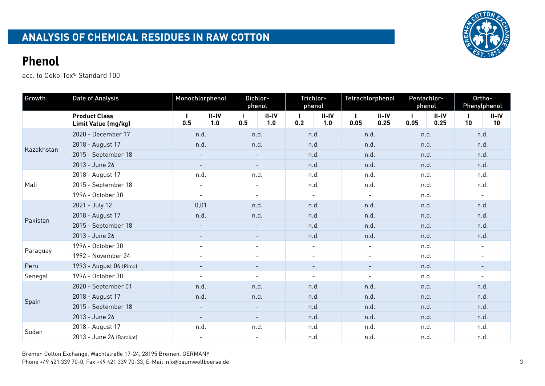

| Growth     | <b>Date of Analysis</b>                     | Monochlorphenol<br>Dichlor-<br>phenol |                |                          | phenol                   | Trichlor-                |                | Tetrachlorphenol | Pentachlor-<br>phenol |      | Ortho-          | Phenylphenol             |               |  |
|------------|---------------------------------------------|---------------------------------------|----------------|--------------------------|--------------------------|--------------------------|----------------|------------------|-----------------------|------|-----------------|--------------------------|---------------|--|
|            | <b>Product Class</b><br>Limit Value (mg/kg) | $\mathbf{I}$<br>0.5                   | $II-IV$<br>1.0 | 0.5                      | $II-IV$<br>1.0           | $\mathbf{I}$<br>0.2      | $II-IV$<br>1.0 | 0.05             | $II-IV$<br>0.25       | 0.05 | $II-IV$<br>0.25 | 10                       | $II-IV$<br>10 |  |
|            | 2020 - December 17                          | n.d.                                  |                | n.d.                     |                          | n.d.                     |                | n.d.             |                       | n.d. |                 | n.d.                     |               |  |
| Kazakhstan | 2018 - August 17                            | n.d.                                  |                | n.d.                     |                          | n.d.                     |                | n.d.             |                       | n.d. |                 | n.d.                     |               |  |
|            | 2015 - September 18                         | $\overline{\phantom{a}}$              |                | $\overline{\phantom{a}}$ |                          | n.d.                     |                | n.d.             |                       | n.d. |                 | n.d.                     |               |  |
|            | 2013 - June 26                              | $\sim$                                |                | $\sim$                   |                          | n.d.                     |                | n.d.             |                       | n.d. |                 | n.d.                     |               |  |
|            | 2018 - August 17                            | n.d.                                  |                | n.d.                     |                          | n.d.                     |                | n.d.             |                       | n.d. |                 | n.d.                     |               |  |
| Mali       | 2015 - September 18                         |                                       | $\blacksquare$ |                          | $\blacksquare$           |                          | n.d.           |                  | n.d.                  |      | n.d.            |                          | n.d.          |  |
|            | 1996 - October 30                           | $\sim$                                |                | $\overline{\phantom{a}}$ |                          | $\blacksquare$           |                | $\sim$           |                       | n.d. |                 | $\bar{\phantom{a}}$      |               |  |
|            | 2021 - July 12                              | 0,01                                  |                | n.d.                     |                          | n.d.                     |                | n.d.             |                       | n.d. |                 | n.d.                     |               |  |
| Pakistan   | 2018 - August 17                            | n.d.                                  |                | n.d.                     |                          | n.d.                     |                | n.d.             |                       | n.d. |                 | n.d.                     |               |  |
|            | 2015 - September 18                         |                                       |                | $\blacksquare$           |                          | n.d.                     |                | n.d.             |                       | n.d. |                 | n.d.                     |               |  |
|            | 2013 - June 26                              | $\overline{\phantom{a}}$              |                | $\overline{\phantom{a}}$ |                          | n.d.                     |                | n.d.             |                       | n.d. |                 | n.d.                     |               |  |
|            | 1996 - October 30                           | $\blacksquare$                        |                | $\overline{\phantom{a}}$ |                          | $\blacksquare$           |                | $\sim$           |                       | n.d. |                 | $\overline{\phantom{a}}$ |               |  |
| Paraguay   | 1992 - November 24                          | $\overline{\phantom{a}}$              |                | $\overline{\phantom{a}}$ |                          | $\overline{\phantom{a}}$ |                | $\blacksquare$   |                       | n.d. |                 | $\overline{\phantom{a}}$ |               |  |
| Peru       | 1993 - August 06 (Pima)                     |                                       |                |                          |                          |                          |                |                  |                       | n.d. |                 |                          |               |  |
| Senegal    | 1996 - October 30                           | $\overline{\phantom{a}}$              |                | $\overline{\phantom{a}}$ |                          | $\overline{\phantom{a}}$ |                |                  |                       | n.d. |                 |                          |               |  |
|            | 2020 - September 01                         | n.d.                                  |                | n.d.                     |                          | n.d.                     |                | n.d.             |                       | n.d. |                 | n.d.                     |               |  |
|            | 2018 - August 17                            | n.d.                                  |                | n.d.                     |                          | n.d.                     |                | n.d.             |                       | n.d. |                 | n.d.                     |               |  |
| Spain      | 2015 - September 18                         | $\overline{\phantom{a}}$              |                |                          |                          | n.d.                     |                | n.d.             |                       | n.d. |                 | n.d.                     |               |  |
|            | 2013 - June 26                              | $\overline{\phantom{a}}$              |                | $\overline{\phantom{a}}$ |                          | n.d.                     |                | n.d.             |                       | n.d. |                 | n.d.                     |               |  |
| Sudan      | 2018 - August 17                            | n.d.                                  |                | n.d.                     |                          | n.d.                     |                | n.d.             |                       | n.d. |                 | n.d.                     |               |  |
|            | 2013 - June 26 (Barakat)                    |                                       | $\blacksquare$ |                          | $\overline{\phantom{a}}$ |                          | n.d.           |                  | n.d.                  |      | n.d.            |                          | n.d.          |  |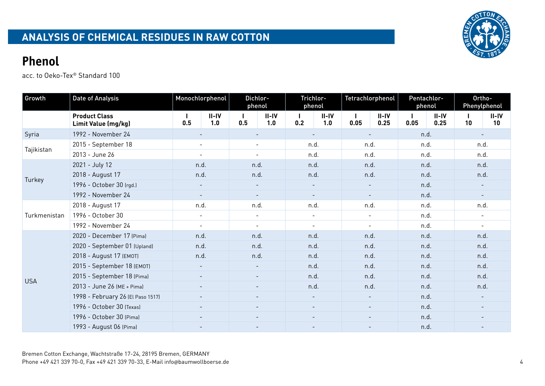

| Growth       | <b>Date of Analysis</b>                     |                          | Monochlorphenol          | Dichlor-<br>phenol       |                | Trichlor-<br>phenol      |                          | Tetrachlorphenol         |                          | Pentachlor-<br>phenol |                 | Ortho-                   | Phenylphenol             |
|--------------|---------------------------------------------|--------------------------|--------------------------|--------------------------|----------------|--------------------------|--------------------------|--------------------------|--------------------------|-----------------------|-----------------|--------------------------|--------------------------|
|              | <b>Product Class</b><br>Limit Value (mg/kg) | I.<br>0.5                | $II-IV$<br>1.0           | 0.5                      | $II-IV$<br>1.0 | 0.2                      | $II-IV$<br>1.0           | 0.05                     | $II-IV$<br>0.25          | 0.05                  | $II-IV$<br>0.25 | 10                       | II-IV<br>10              |
| Syria        | 1992 - November 24                          |                          | $\overline{\phantom{a}}$ |                          | $\sim$         |                          | $\overline{\phantom{a}}$ |                          | $\overline{\phantom{a}}$ |                       | n.d.            |                          | $\overline{\phantom{a}}$ |
| Tajikistan   | 2015 - September 18                         | $\blacksquare$           |                          | $\sim$                   |                | n.d.                     |                          | n.d.                     |                          | n.d.                  |                 | n.d.                     |                          |
|              | 2013 - June 26                              | $\sim$                   |                          | $\overline{\phantom{a}}$ |                | n.d.                     |                          | n.d.                     |                          | n.d.                  |                 | n.d.                     |                          |
|              | 2021 - July 12                              | n.d.                     |                          | n.d.                     |                | n.d.                     |                          | n.d.                     |                          | n.d.                  |                 | n.d.                     |                          |
| Turkey       | 2018 - August 17                            | n.d.                     |                          | n.d.                     |                | n.d.                     |                          | n.d.                     |                          | n.d.                  |                 | n.d.                     |                          |
|              | 1996 - October 30 (rgd.)                    |                          |                          | $\overline{\phantom{a}}$ |                | $\overline{\phantom{a}}$ |                          |                          |                          | n.d.                  |                 |                          |                          |
|              | 1992 - November 24                          | $\overline{\phantom{a}}$ |                          | $\overline{\phantom{a}}$ |                | $\overline{\phantom{a}}$ |                          |                          |                          | n.d.                  |                 |                          |                          |
|              | 2018 - August 17                            | n.d.                     |                          | n.d.                     |                | n.d.                     |                          | n.d.                     |                          | n.d.                  |                 | n.d.                     |                          |
| Turkmenistan | 1996 - October 30                           | $\overline{\phantom{a}}$ |                          | $\blacksquare$           |                | $\blacksquare$           |                          | $\overline{\phantom{a}}$ |                          | n.d.                  |                 | $\overline{\phantom{a}}$ |                          |
|              | 1992 - November 24                          | $\overline{\phantom{a}}$ |                          | $\sim$                   |                | $\overline{\phantom{a}}$ |                          | $\overline{\phantom{a}}$ |                          | n.d.                  |                 | $\overline{\phantom{a}}$ |                          |
|              | 2020 - December 17 (Pima)                   | n.d.                     |                          | n.d.                     |                | n.d.                     |                          | n.d.                     |                          | n.d.                  |                 | n.d.                     |                          |
|              | 2020 - September 01 (Upland)                | n.d.                     |                          | n.d.                     |                | n.d.                     |                          | n.d.                     |                          | n.d.                  |                 | n.d.                     |                          |
|              | 2018 - August 17 (EMOT)                     | n.d.                     |                          | n.d.                     |                | n.d.                     |                          | n.d.                     |                          | n.d.                  |                 | n.d.                     |                          |
|              | 2015 - September 18 (EMOT)                  | $\overline{\phantom{a}}$ |                          | $\overline{\phantom{a}}$ |                | n.d.                     |                          | n.d.                     |                          | n.d.                  |                 | n.d.                     |                          |
| <b>USA</b>   | 2015 - September 18 (Pima)                  |                          | $\overline{\phantom{a}}$ | $\overline{\phantom{a}}$ |                | n.d.                     |                          | n.d.                     |                          | n.d.                  |                 | n.d.                     |                          |
|              | 2013 - June 26 (ME + Pima)                  |                          | $\overline{\phantom{a}}$ |                          | $\sim$         | n.d.                     |                          | n.d.                     |                          | n.d.                  |                 | n.d.                     |                          |
|              | 1998 - February 26 (El Paso 1517)           | $\equiv$                 |                          |                          | $\sim$         |                          | $\overline{\phantom{a}}$ | $\sim$                   |                          | n.d.                  |                 |                          |                          |
|              | 1996 - October 30 (Texas)                   |                          |                          |                          | $\equiv$       | $\equiv$                 |                          | $\sim$                   |                          | n.d.                  |                 |                          |                          |
|              | 1996 - October 30 (Pima)                    |                          |                          | $\overline{\phantom{a}}$ |                | $\overline{\phantom{a}}$ |                          | $\overline{\phantom{a}}$ |                          | n.d.                  |                 |                          |                          |
|              | 1993 - August 06 (Pima)                     | $\overline{\phantom{a}}$ |                          |                          |                |                          |                          |                          |                          | n.d.                  |                 |                          |                          |